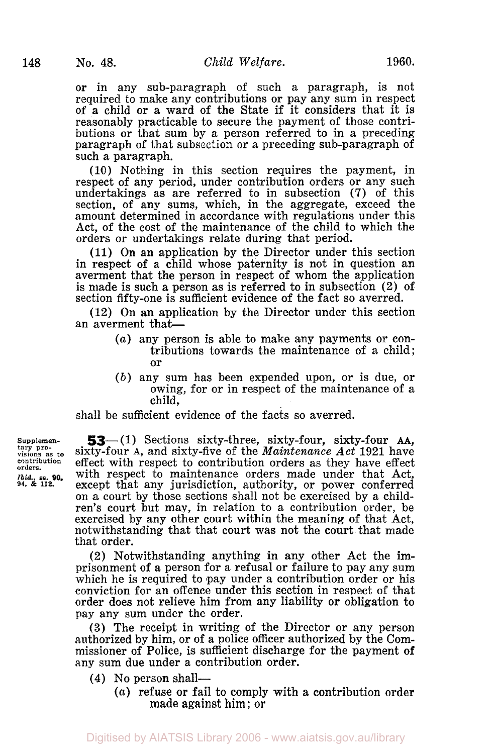or in any sub-paragraph of such a paragraph, is not required to make any contributions or pay any sum in respect of a child or a ward of the State if it considers that it is reasonably practicable to secure the payment of those contributions or that sum by a person referred to in a preceding paragraph of that subsection or a preceding sub-paragraph of such a paragraph.

(10) Nothing in this section requires the payment, in respect of any period, under contribution orders or any such undertakings as are referred to in subsection (7) of this section, of any sums, which, in the aggregate, exceed the amount determined in accordance with regulations under this Act, of the cost of the maintenance of the child to which the orders or undertakings relate during that period.

**(11)** On an application by the Director under this section in respect of a child whose paternity is not in question an averment that the person in respect of whom the application is made is such **a** person as is referred to in subsection (2) of section fifty-one is sufficient evidence of the fact so averred.

**(12)** On an application by the Director under this section an averment that-

- *(a)* any person is able to make any payments or contributions towards the maintenance of a child; or
- *(b)* any sum has been expended upon, or is due, or owing, for or in respect of the maintenance of a child,

shall be sufficient evidence of the facts so averred.

Supplemen-<br> **53**—(1) Sections sixty-three, sixty-four, sixty-four AA,<br>
visions as to sixty-four A, and sixty-five of the *Maintenance Act* 1921 have<br>
contribution effect with respect to contribution orders as they have ef sixty-four A, and sixty-five of the *Maintenance Act* 1921 have **orders.** contribution effect with respect to contribution orders as they have effect *Ibid.*, **ss. 90.** With respect to maintenance orders made under that Act,  $\frac{1}{24}$ ,  $\frac{1}{24}$ ,  $\frac{1}{24}$ , except that any jurisdiction authority or nower conferred except that any jurisdiction, authority, or power conferred on a court by those sections shall not be exercised by a children's court but may, in relation to a contribution order, be exercised by any other court within the meaning of that Act, notwithstanding that that court was not the court that made that order.

> (2) Notwithstanding anything in any other Act the imprisonment of a person for a refusal or failure to pay any sum which he is required to pay under a contribution order or his conviction for an offence under this section in respect of that order does not relieve him from any liability or obligation to pay any sum under the order.

> **(3)** The receipt in writing of the Director or any person authorized by him, or of a police officer authorized by the Commissioner of Police, is sufficient discharge for the payment **of**  any sum due under a contribution order.

- **(4)** No person shall-
	- *(a)* refuse or fail to comply with a contribution order made against him ; or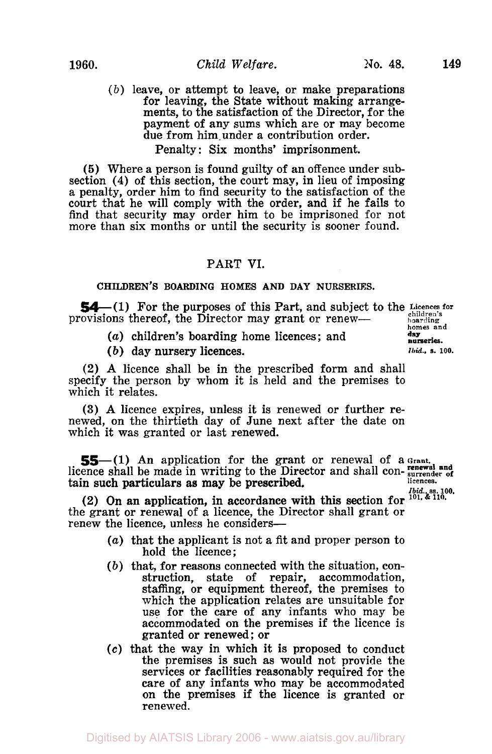**nurseries.** 

*(b)* leave, or attempt to leave, or make preparations for leaving, the State without making arrangements, to the satisfaction of the Director, for the payment of any sums which are or may become due from him under a contribution order. Penalty: Six months' imprisonment.

*(5)* Where a person is found guilty of an offence under subsection **(4)** of this section, the court may, in lieu of imposing a penalty, order him to find security to the satisfaction of the court that he will comply with the order, and if he fails to find that security may order him to be imprisoned for not more than six months or until the security is sooner found.

## PART **VI.**

## **CHILDREN'S BOARDING HOMES AND DAY NURSERIES.**

54—(1) For the purposes of this Part, and subject to the Licences for covisions thereof, the Director may grant or renew provisions thereof, the Director may grant or renew-<br>homes and <br>homes and

**day** *(a)* children's boarding home licences; and

(b) day nursery licences. *Ibid.*, s. 100.

(2) A licence shall be in the prescribed form and shall specify the person by whom it is held and the premises to which it relates.

**(3) A** licence expires, unless it is renewed **or** further renewed, on the thirtieth day of June next after the date on which it was granted or last renewed.

**55**—(1) An application for the grant or renewal of a Grant. **renewal and** licence shall be made in writing to the Director and shall con- **surrender of licences.**  tain such particulars as may be prescribed.

**I**  $\sum_{i=1}^{n}$  on an application, in accordance with this section for  $\sum_{i=1}^{n}$   $\sum_{i=1}^{n}$   $\sum_{i=1}^{n}$ the grant or renewal of a licence, the Director shall grant or renew the licence, unless he considers-

- *(a)* that the applicant is not a fit and proper person to hold the licence;
- *(b)* that, for reasons connected with the situation, construction, state of repair, accommodation, staffing, or equipment thereof, the premises to which the application relates are unsuitable for use for the care of any infants who may be accommodated on the premises if the licence is granted or renewed; or
- **(c)** that the way in which it is proposed to conduct the premises is such as would not provide the services **or** facilities reasonably required for the care of any infants who may be accommodated on the premises if the licence is granted or renewed.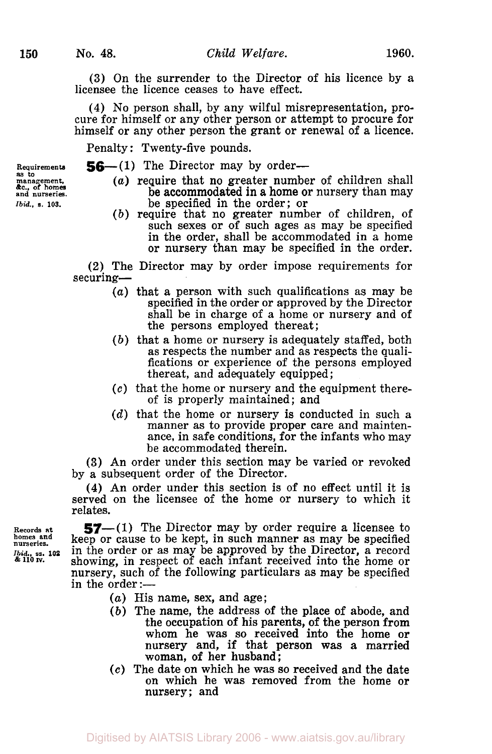management,<br>&c., of homes<br>and nurseries.

**(3)** On the surrender to the Director of his licence by a licensee the licence ceases to have effect.

**(4)** No person shall, by any wilful misrepresentation, procure for himself or any other person **or** attempt to procure for himself **or** any other person the grant or renewal of a licence.

Penalty: Twenty-five pounds.

- **Requirements 56-(1)** The Director may by order- **as** *to* **management.** *(a)* require that no greater number of children shall **be accommodated in a home or nursery than may** *Ibid.*, s. 103. **be specified in the order; or** 
	- *(b)* require that no greater number of children, of such sexes or of such ages as may be specified in the order, shall be accommodated in a home or nursery than may be specified in the order.

**(2)** The Director may by order impose requirements for securing-

- *(a)* that a person with such qualifications as may be specified in the order **or** approved by the Director shall be in charge of a home or nursery and of the persons employed thereat;
- *(b)* that a home or nursery is adequately staffed, both fications or experience of the persons employed thereat, and adequately equipped ;
- **(c)** that the home **or** nursery and the equipment there- of is properly maintained; and
- (d) that the home or nursery is conducted in such a manner as to provide proper care and maintenance, in safe conditions, for the infants who may be accommodated therein.

**(3)** An order under this section may be varied or revoked by a subsequent order of the Director.

**(4)** An order under this section is **of** no effect until it is served on the licensee of the home or nursery to which it relates.

Records at  $\frac{57-(1)}{20}$  The Director may by order require a licensee to homes and  $\frac{1}{20}$  keeps on gouve to be kept, in such mannon as may be specified **homes and nurseries.** keep or cause to be kept, in such manner as may be specified *Ibid*<sub>1</sub>, ss. 102 in the order or as may be approved by the Director, a record  $\frac{1}{2}$  and  $\frac{1}{2}$  showing, in respect of each infant received into the home or nursery, such of the following particulars as may be specified in the order: $-$ 

- *(a)* His name, sex, and age;
- *(b)* The name, the address of the place of abode, and the occupation of his parents, of the person from whom he was so received into the home **or**  nursery and, if that person was **a** married woman, **of** her husband ;
- *(e)* The date on which he was so received and the date on which he was removed from the home or nursery; and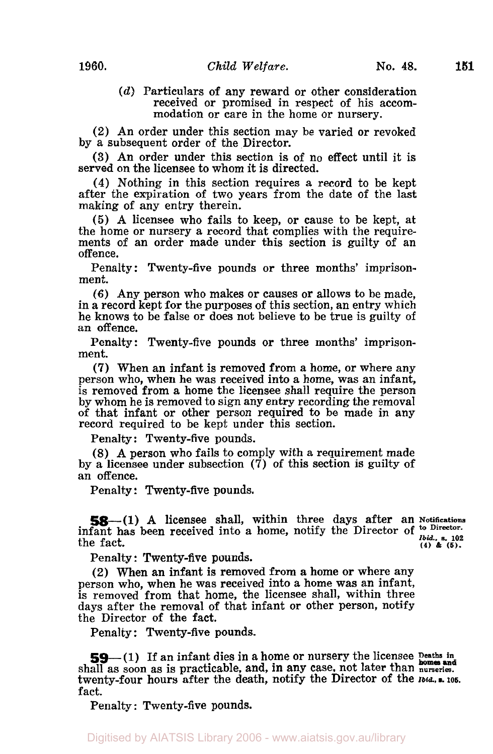*(d)* Particulars of any reward or other consideration received **or** promised in respect of his accommodation or care in the home or nursery.

(2) An order under this section may be varied or revoked by a subsequent order of the Director.

**(3)** An order under this section is of no effect until it is served on the licensee to whom it is directed.<br>(4) Nothing in this section requires a record to be kept

after the expiration of two years from the date of the last making of any entry therein.

*(5)* A licensee who fails to keep, or cause to be kept, at the home or nursery a record that complies with the requirements of an order made under this section is guilty of an offence.

Penalty: Twenty-five pounds or three months' imprisonment.

**(6)** Any person who makes or causes or allows to be made, in a record kept for the purposes of this section, an entry which he knows to be false or does not believe to be true is guilty of an offence.

Penalty: Twenty-five pounds or three months' imprisonment.

(7) When an infant is removed from a home, or where any person who, when he was received into a home, was an infant, is removed from **a** home the licensee shall require the person by whom he is removed to sign any entry recording the removal of that infant or other person required to be made in any record required to be kept under this section.

Penalty: Twenty-five pounds.

(8) A person who fails to comply with a requirement made by a licensee under subsection  $(\vec{7})$  of this section is guilty of an offence.

Penalty : Twenty-five pounds.

**58-(1) A** licensee shall, within three days after an **Notifications**  infant has been received into a home, notify the Director of  $\frac{1}{10id}$ , s. 102<br>the fact. the fact. **(4)**  $\&$  (5). **(4)**  $\&$  (5).

Penalty : Twenty-five pounds.

**(2)** When an infant is removed from **a** home or where any person who, when he was received into a home was an infant, is removed from that home, the licensee shall, within three days after the removal of that infant or other person, notify the Director of the fact.

Penalty: Twenty-five pounds.

**59-** (1) If an infant dies in a home or nursery the licensee **<sup>D</sup>eaths in**  shall as soon as is practicable, and, in any case, not later than *nurseries*. twenty-four hours after the death, notify the Director of the *Ibid.,* **105.**  fact.

Penalty : Twenty-five pounds.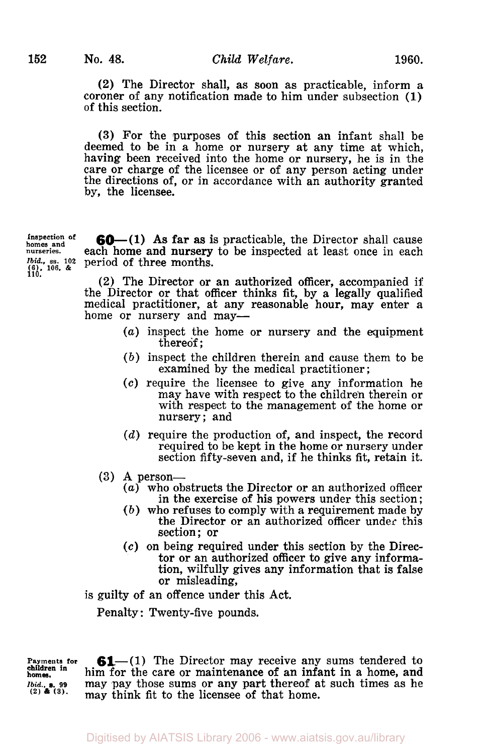**(2)** The Director shall, as soon as practicable, inform a coroner of any notification made to him under subsection **(1)**  of this section.

**(3)** For the purposes of this section an infant shall be deemed to be in a home **or** nursery at any time at which, having been received into the home or nursery, he is in the care or charge of the licensee **or** of any person acting under the directions of, or in accordance with an authority granted by, the licensee.

**h**omes and **nurseries.**   $\begin{array}{c} (6), 106, & \text{& } \\ 110, & & \end{array}$ 

*Ibid.*, ss. 102 period of three months. **60**-(1) As far as is practicable, the Director shall cause each home and nursery to be inspected at least once in each

> **(2)** The Director or an authorized officer, accompanied if the Director or that officer thinks fit, by a legally qualified medical practitioner, at any reasonable hour, may enter a home or nursery and may-

- *(a)* inspect the home **or** nursery and the equipment thereof ;
- *(b)* inspect the children therein and cause them to be examined by the medical practitioner ;
- *(c)* require the licensee to give any information he may have with respect to the children therein **or**  with respect to the management of the home **or**  nursery; and
- *(d)* require the production of, and inspect, the record required to be kept in the home **or** nursery under section fifty-seven and, if he thinks fit, retain it.
- **(3) A** person-
	- *(a)* who obstructs the Director **or** an authorized officer in the exercise of his powers under this section;<br>(b) who refuses to comply with a requirement made by
	- the Director or an authorized officer under this section; or
	- *(c)* on being required under this section by the Director **or** an authorized officer to give any information, wilfully gives any information that is false or misleading,

is guilty of an offence under this Act.

Penalty : Twenty-five pounds.

**Payments for**  *Ibid..* **99** (2) **(3). children in homes.** 

**61**—(1) The Director may receive any sums tendered to him for the care or maintenance of an infant in a home, and may pay those **sums** or any part thereof at such times as he may think fit to the licensee of that home.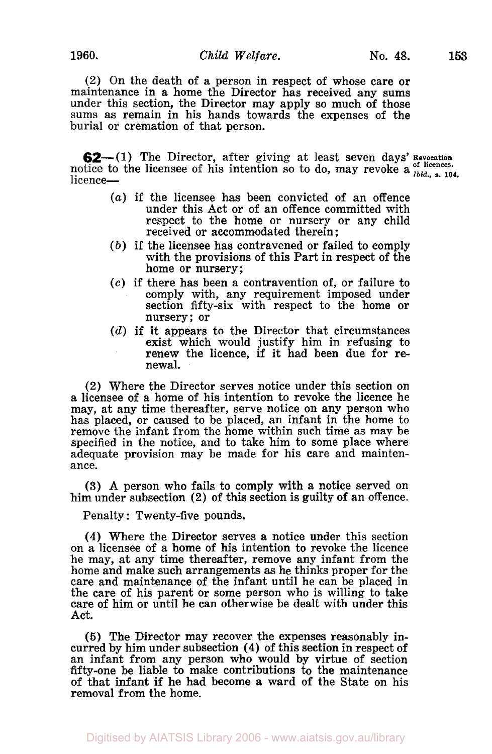(2) On the death of a person in respect of whose care **or**  maintenance in a home the Director has received any sums under this section, the Director may apply so much of those sums as remain in his hands towards the expenses of the burial or cremation of that person.

**62**—(1) The Director, after giving at least seven days' Revocation notice to the licensee of his intention so to do, may revoke a  $\frac{1}{16d}$ ,  $\frac{1}{2}$ ,  $\frac{104}{16d}$ licence-

- *(a)* if the licensee has been convicted of an offence under this Act or of an offence committed with respect to the home or nursery **or** any child received **or** accommodated therein ;
- *(b)* if the licensee has contravened **or** failed to comply with the provisions of this Part in respect of the home or nursery;
- *(c)* if there has been a contravention of, or failure to comply with, any requirement imposed under section fifty-six with respect to the home or nursery; **or**
- *(d)* if it appears to the Director that circumstances exist which would justify him in refusing to renew the licence, if it had been due for renewal.

**(2)** Where the Director serves notice under this section on a licensee of a home of his intention to revoke the licence he may, at any time thereafter, serve notice on any person who has placed, or caused to be placed, an infant in the home to remove the infant from the home within such time as may be specified in the notice, and to take him to some place where adequate provision may be made for his care and maintenance.

**(3) A** person who fails to comply with a notice served on him under subsection **(2)** of this section is guilty of an offence.

Penalty : Twenty-five pounds.

**(4)** Where the Director serves a notice under this section on a licensee of a home **of** his intention to revoke the licence he may, at any time thereafter, remove any infant from the home and make such arrangements as he thinks proper for the care and maintenance of the infant until he can be placed in the care of his parent or some person who is willing to take care of him **or** until he can otherwise be dealt with under this Act.

*(5)* The Director may recover the expenses reasonably in- curred by him under subsection **(4)** of this section in respect of an infant from any person who would by virtue of section fifty-one be liable to make contributions to the maintenance of that infant if he had become *a* ward of the State on his removal from the home.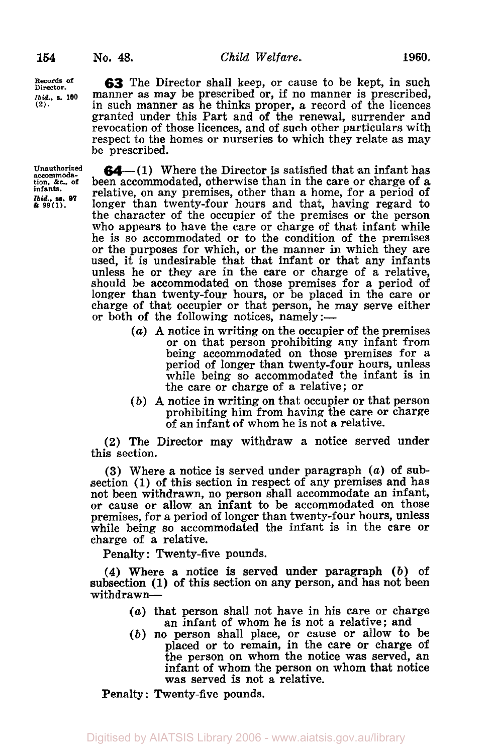**Records Director. of**  *Ibid.*, s. 100 **(2).** 

**Unauthorized accommodation. &c., of infants. 99 (1).**  *Ibid.,* **ss.** *97* 

**63** The Director shall keep, or cause to be kept, in such manner as may be prescribed or, if no manner **is** prescribed, in such manner as he thinks proper, a record of the licences granted under this Part and of the renewal, surrender and revocation of those licences, and of such other particulars with respect to the homes or nurseries to which they relate as may be prescribed.

**64** - (1) Where the Director is satisfied that an infant has been accommodated, otherwise than in the care or charge of a relative, on any premises, other than a home, for a period of longer than twenty-four hours and that, having regard to the character of the occupier of the premises or the person who appears to have the care or charge of that infant while he is so accommodated or to the condition of the premises or the purposes for which, or the manner in which they are used, it is undesirable that that infant or that any infants unless he or they are in the care or charge of a relative, should be accommodated on those premises for a period of longer than twenty-four hours, or be placed in the care or charge of that occupier or that person, he may serve either or both of the following notices, namely: $-$ 

- *(a)* **A** notice in writing on the occupier of the premises or on that person prohibiting any infant from being accommodated on those premises for a period of longer than twenty-four hours, unless while being *so* accommodated the infant is in the care or charge of a relative; or
- *(b)* **<sup>A</sup>**notice in writing on that occupier or that person prohibiting him from having the care or charge of an infant of whom he is not a relative.

**(2)** The Director may withdraw a notice served under this section.

**(3)** Where a notice is served under paragraph *(a)* **of** subsection **(1)** of this section in respect of any premises and has not been withdrawn, no person shall accommodate an infant, or cause or allow an infant to be accommodated on those premises, for a period of longer than twenty-four hours, unless while being *so* accommodated the infant is in the care or charge of a relative.

Penalty : Twenty-five pounds.

**(4)** Where a notice is served under paragraph *(b)* of subsection **(1)** of this section on any person, and has not been withdrawn-

- *(a)* that person shall not have in his care or charge an infant of whom he is not a relative; and
- *(b)* no person shall place, or cause or allow to be placed or to remain, in the care or charge of the person on whom the notice was served, an infant of whom the person on whom that notice was served is not **a** relative.

Penalty : Twenty-five pounds.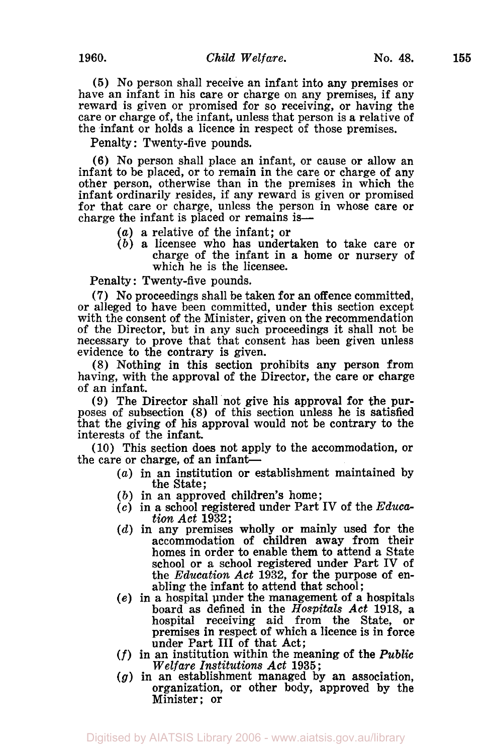**(5)** No person shall receive an infant into any premises or have an infant in his care or charge on any premises, if any reward is given or promised for so receiving, or having the care or charge of, the infant, unless that person is a relative of the infant or holds a licence in respect of those premises.

Penalty: Twenty-five pounds.

**(6)** No person shall place an infant, or cause or allow an infant to be placed, or to remain in the care or charge of any other person, otherwise than in the premises in which the infant ordinarily resides, if any reward is given or promised for that care or charge, unless the person in whose care **or**  charge the infant is placed or remains is-

- *(a)* a relative of the infant; or
- *(b)* a licensee who has undertaken to take care or charge of the infant in a home or nursery of which he is the licensee.

Penalty : Twenty-five pounds.

(7) **No** proceedings shall be taken for an offence committed, or alleged to have been committed, under this section except with the consent of the Minister, given on the recommendation of the Director, but in any such proceedings it shall not be necessary to prove that that consent has been given unless evidence to the contrary is given.

(8) Nothing in this section prohibits any person from having, with the approval of the Director, the care or charge of an infant.

**(9)** The Director shall not give his approval for the purposes of subsection (8) of this section unless he is satisfied that the giving of his approval would not be contrary to the interests of the infant.

(10) This section does not apply to the accommodation, or the care or charge, of an infant-

- *(a)* in an institution or establishment maintained by the State;
- *(b)* in an approved children's home ;
- *(c)* in **a** school registered under Part **IV** of the *Education Act* **1932;**
- *(d)* in any premises wholly **or** mainly used for the accommodation of children away from their homes in order to enable them to attend **a** State school or a school registered under Part **IV** of the *Education Act* **1932,** for the purpose of enabling the infant to attend that school;
- *(e)* in a hospital under the management of a hospitals board as defined in the *Hospitals Act* **1918,** <sup>a</sup> hospital receiving aid from the State, or premises in respect of which a licence is in force under Part **III of** that Act;
- *(f)* in an institution within the meaning **of** the *Public Welfare Institutions Act* **1935** ;
- *(g)* in an establishment managed by an association, organization, or other body, approved by the Minister; or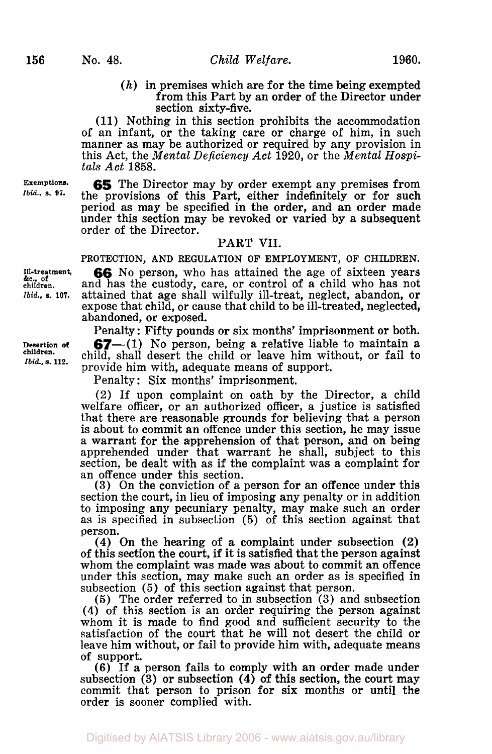**156** 

*(h)* in premises which are for the time being exempted from this Part by an order of the Director under section sixty-five.

(11) Nothing in this section prohibits the accommodation of an infant, or the taking care **or** charge of him, in such manner as may be authorized or required by any provision in this Act, the *Mental Deficiency Act* **1920,** or the *Mental Hospi- tals Act* **1858.** 

*65* The Director may by order exempt any premises from the provisions of this Part, either indefinitely or for such period as may be specified in the order, and an order made under this section may be revoked or varied by a subsequent order of the Director.

## PART VII.

**PROTECTION,** AND **REGULATION OF EMPLOYMENT, OF CHILDREN.** 

**66** No person, who has attained the age of sixteen years and has the custody, care, or control of a child who has not attained that age shall wilfully ill-treat, neglect, abandon, **or**  expose that child, **or** cause that child to be ill-treated, neglected, abandoned, **or** exposed.

Penalty : Fifty pounds or six months' imprisonment or both. **67**-(1) No person, being a relative liable to maintain a child, shall desert the child or leave him without, or fail to provide him with, adequate means **of** support.

Penalty : Six months' imprisonment.

(2) If upon complaint on oath by the Director, a child welfare officer, or an authorized officer, a justice is satisfied that there are reasonable grounds for believing that a person is about to commit an offence under this section, he may issue a warrant for the apprehension of that person, and on being apprehended under that warrant he shall, subject to this section, be dealt with as if the complaint was a complaint for an offence under this section.

**(3)** On the conviction of a person for an offence under this section the court, in lieu of imposing any penalty or in addition to imposing any pecuniary penalty, may make such an order as is specified in subsection (5) of this section against that person.

(4) On the hearing of a complaint under subsection **(2)**  of this section the court, if it is satisfied that the person against whom the complaint was made was about to commit an offence under this section, may make such an order as is specified in subsection (5) of this section against that person.

(5) The order referred to in subsection **(3)** and subsection **(4)** of this section is an order requiring the person against whom it is made to find good and sufficient security to the satisfaction of the court that he will not desert the child or leave him without, or fail to provide him with, adequate means of support.

**(6)** If a person fails to comply with an order made under subsection **(3) or** subsection (4) **of** this section, the court may commit that person to prison for six months or until the order is sooner complied with.

**Ill-treatment, &c.. of children.**  *Ibid.,* **s. 107.** 

**Exemptions.**  *Ibid..* **a. 97.** 

**Desertion** *of*  **children.**  *Ibid.,* **a. 112.**